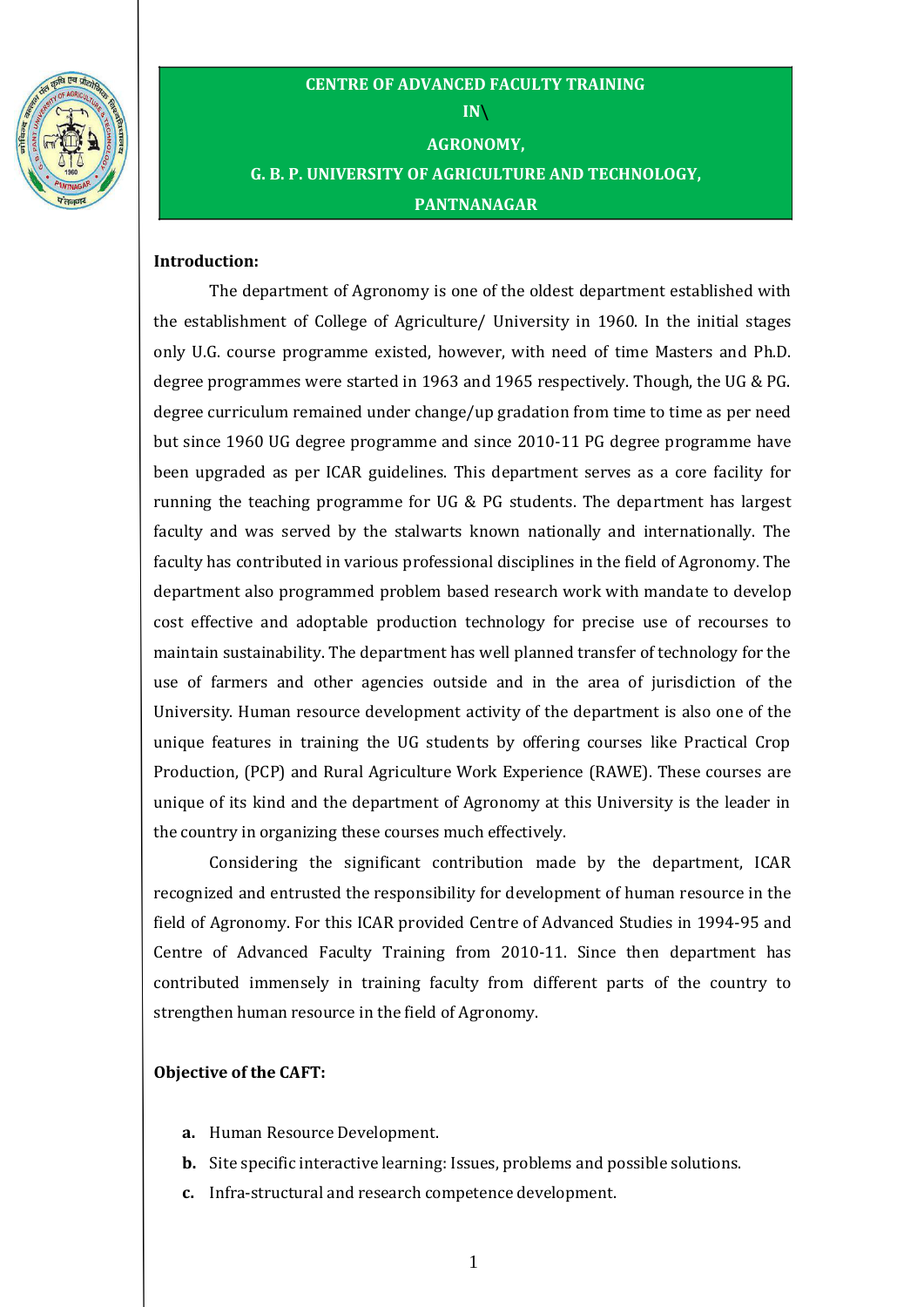

# **CENTRE OF ADVANCED FACULTY TRAINING IN\ AGRONOMY, G. B. P. UNIVERSITY OF AGRICULTURE AND TECHNOLOGY, PANTNANAGAR**

#### **Introduction:**

The department of Agronomy is one of the oldest department established with the establishment of College of Agriculture/ University in 1960. In the initial stages only U.G. course programme existed, however, with need of time Masters and Ph.D. degree programmes were started in 1963 and 1965 respectively. Though, the UG & PG. degree curriculum remained under change/up gradation from time to time as per need but since 1960 UG degree programme and since 2010-11 PG degree programme have been upgraded as per ICAR guidelines. This department serves as a core facility for running the teaching programme for UG & PG students. The department has largest faculty and was served by the stalwarts known nationally and internationally. The faculty has contributed in various professional disciplines in the field of Agronomy. The department also programmed problem based research work with mandate to develop cost effective and adoptable production technology for precise use of recourses to maintain sustainability. The department has well planned transfer of technology for the use of farmers and other agencies outside and in the area of jurisdiction of the University. Human resource development activity of the department is also one of the unique features in training the UG students by offering courses like Practical Crop Production, (PCP) and Rural Agriculture Work Experience (RAWE). These courses are unique of its kind and the department of Agronomy at this University is the leader in the country in organizing these courses much effectively.

Considering the significant contribution made by the department, ICAR recognized and entrusted the responsibility for development of human resource in the field of Agronomy. For this ICAR provided Centre of Advanced Studies in 1994-95 and Centre of Advanced Faculty Training from 2010-11. Since then department has contributed immensely in training faculty from different parts of the country to strengthen human resource in the field of Agronomy.

#### **Objective of the CAFT:**

- **a.** Human Resource Development.
- **b.** Site specific interactive learning: Issues, problems and possible solutions.
- **c.** Infra-structural and research competence development.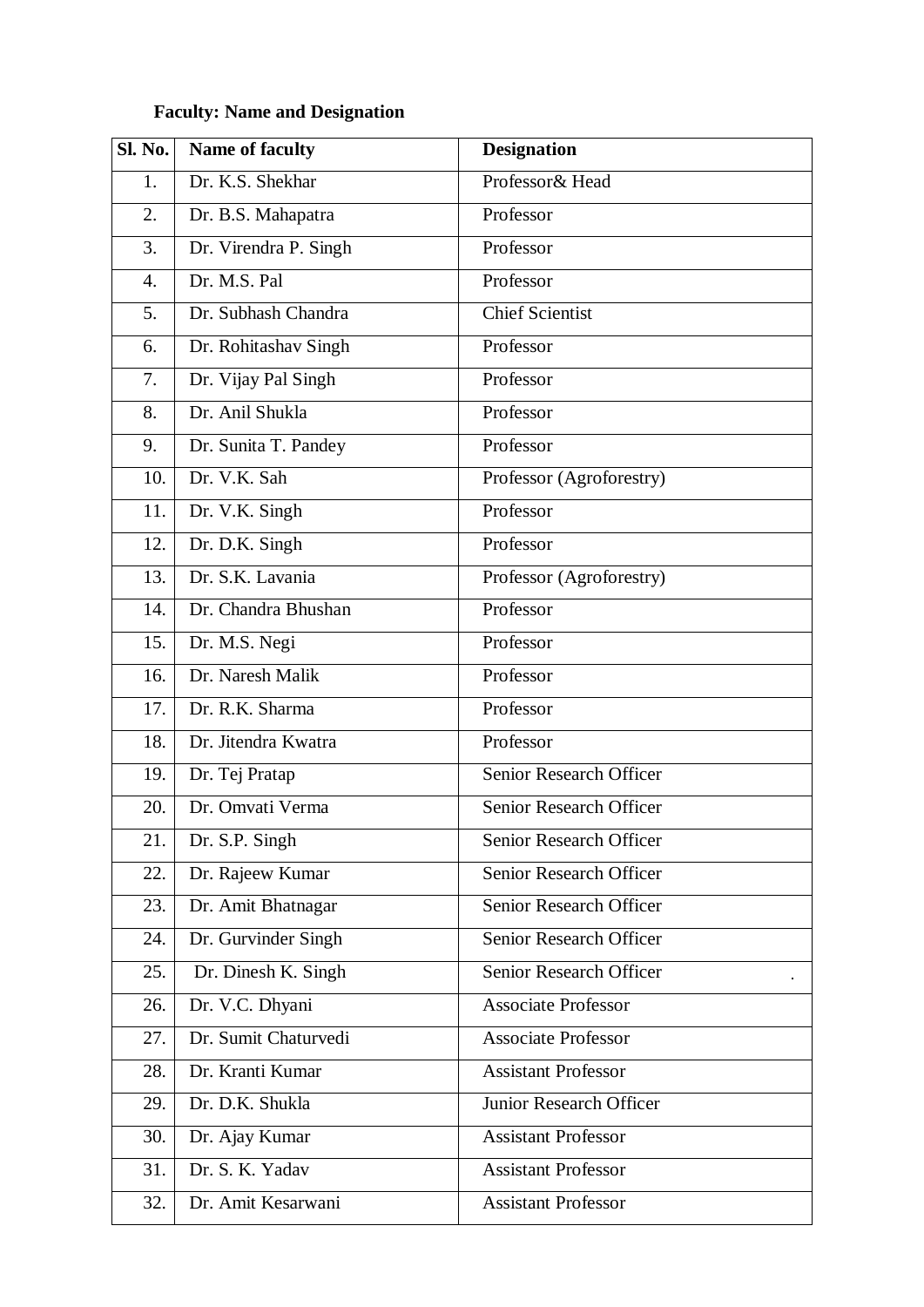# **Faculty: Name and Designation**

| <b>Sl. No.</b> | <b>Name of faculty</b> | <b>Designation</b>             |  |  |
|----------------|------------------------|--------------------------------|--|--|
| 1.             | Dr. K.S. Shekhar       | Professor& Head                |  |  |
| 2.             | Dr. B.S. Mahapatra     | Professor                      |  |  |
| 3.             | Dr. Virendra P. Singh  | Professor                      |  |  |
| 4.             | Dr. M.S. Pal           | Professor                      |  |  |
| 5.             | Dr. Subhash Chandra    | <b>Chief Scientist</b>         |  |  |
| 6.             | Dr. Rohitashav Singh   | Professor                      |  |  |
| 7.             | Dr. Vijay Pal Singh    | Professor                      |  |  |
| 8.             | Dr. Anil Shukla        | Professor                      |  |  |
| 9.             | Dr. Sunita T. Pandey   | Professor                      |  |  |
| 10.            | Dr. V.K. Sah           | Professor (Agroforestry)       |  |  |
| 11.            | Dr. V.K. Singh         | Professor                      |  |  |
| 12.            | Dr. D.K. Singh         | Professor                      |  |  |
| 13.            | Dr. S.K. Lavania       | Professor (Agroforestry)       |  |  |
| 14.            | Dr. Chandra Bhushan    | Professor                      |  |  |
| 15.            | Dr. M.S. Negi          | Professor                      |  |  |
| 16.            | Dr. Naresh Malik       | Professor                      |  |  |
| 17.            | Dr. R.K. Sharma        | Professor                      |  |  |
| 18.            | Dr. Jitendra Kwatra    | Professor                      |  |  |
| 19.            | Dr. Tej Pratap         | Senior Research Officer        |  |  |
| 20.            | Dr. Omvati Verma       | Senior Research Officer        |  |  |
| 21.            | Dr. S.P. Singh         | <b>Senior Research Officer</b> |  |  |
| 22.            | Dr. Rajeew Kumar       | Senior Research Officer        |  |  |
| 23.            | Dr. Amit Bhatnagar     | Senior Research Officer        |  |  |
| 24.            | Dr. Gurvinder Singh    | Senior Research Officer        |  |  |
| 25.            | Dr. Dinesh K. Singh    | Senior Research Officer        |  |  |
| 26.            | Dr. V.C. Dhyani        | <b>Associate Professor</b>     |  |  |
| 27.            | Dr. Sumit Chaturvedi   | <b>Associate Professor</b>     |  |  |
| 28.            | Dr. Kranti Kumar       | <b>Assistant Professor</b>     |  |  |
| 29.            | Dr. D.K. Shukla        | Junior Research Officer        |  |  |
| 30.            | Dr. Ajay Kumar         | <b>Assistant Professor</b>     |  |  |
| 31.            | Dr. S. K. Yadav        | <b>Assistant Professor</b>     |  |  |
| 32.            | Dr. Amit Kesarwani     | <b>Assistant Professor</b>     |  |  |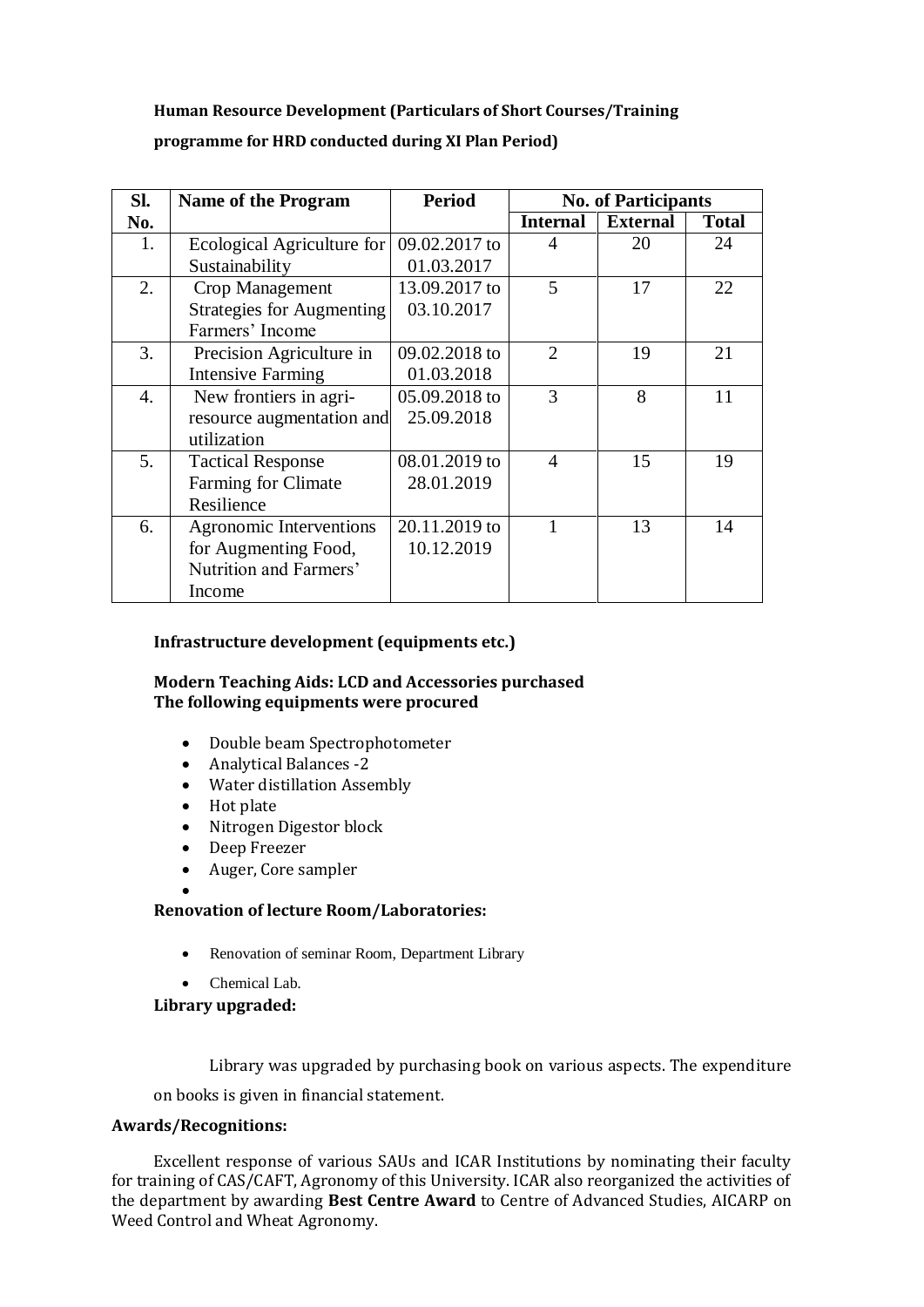# **Human Resource Development (Particulars of Short Courses/Training programme for HRD conducted during XI Plan Period)**

| Sl.              | <b>Name of the Program</b>       | <b>Period</b> | <b>No. of Participants</b> |                 |              |
|------------------|----------------------------------|---------------|----------------------------|-----------------|--------------|
| No.              |                                  |               | <b>Internal</b>            | <b>External</b> | <b>Total</b> |
| 1.               | Ecological Agriculture for       | 09.02.2017 to | 4                          | 20              | 24           |
|                  | Sustainability                   | 01.03.2017    |                            |                 |              |
| 2.               | Crop Management                  | 13.09.2017 to | 5                          | 17              | 22           |
|                  | <b>Strategies for Augmenting</b> | 03.10.2017    |                            |                 |              |
|                  | Farmers' Income                  |               |                            |                 |              |
| 3.               | Precision Agriculture in         | 09.02.2018 to | $\overline{2}$             | 19              | 21           |
|                  | <b>Intensive Farming</b>         | 01.03.2018    |                            |                 |              |
| $\overline{4}$ . | New frontiers in agri-           | 05.09.2018 to | 3                          | 8               | 11           |
|                  | resource augmentation and        | 25.09.2018    |                            |                 |              |
|                  | utilization                      |               |                            |                 |              |
| 5.               | <b>Tactical Response</b>         | 08.01.2019 to | $\overline{A}$             | 15              | 19           |
|                  | <b>Farming for Climate</b>       | 28.01.2019    |                            |                 |              |
|                  | Resilience                       |               |                            |                 |              |
| 6.               | <b>Agronomic Interventions</b>   | 20.11.2019 to |                            | 13              | 14           |
|                  | for Augmenting Food,             | 10.12.2019    |                            |                 |              |
|                  | Nutrition and Farmers'           |               |                            |                 |              |
|                  | Income                           |               |                            |                 |              |

#### **Infrastructure development (equipments etc.)**

#### **Modern Teaching Aids: LCD and Accessories purchased The following equipments were procured**

- Double beam Spectrophotometer
- Analytical Balances -2
- Water distillation Assembly
- Hot plate

 $\bullet$ 

- Nitrogen Digestor block
- Deep Freezer
- Auger, Core sampler

# **Renovation of lecture Room/Laboratories:**

- Renovation of seminar Room, Department Library
- Chemical Lab.

#### **Library upgraded:**

Library was upgraded by purchasing book on various aspects. The expenditure

on books is given in financial statement.

# **Awards/Recognitions:**

Excellent response of various SAUs and ICAR Institutions by nominating their faculty for training of CAS/CAFT, Agronomy of this University. ICAR also reorganized the activities of the department by awarding **Best Centre Award** to Centre of Advanced Studies, AICARP on Weed Control and Wheat Agronomy.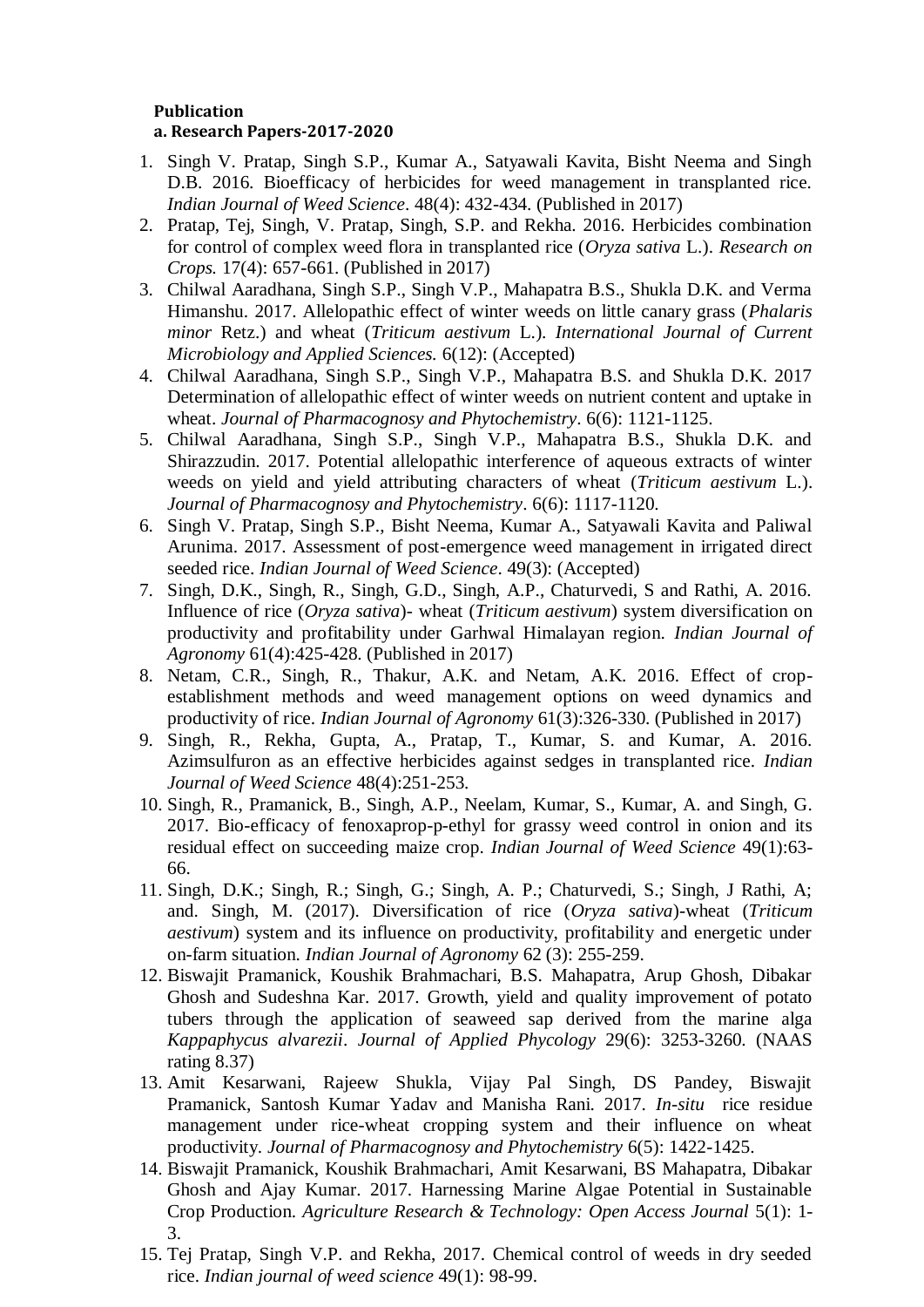#### **Publication a. Research Papers-2017-2020**

- 1. Singh V. Pratap, Singh S.P., Kumar A., Satyawali Kavita, Bisht Neema and Singh D.B. 2016. Bioefficacy of herbicides for weed management in transplanted rice. *Indian Journal of Weed Science*. 48(4): 432-434. (Published in 2017)
- 2. Pratap, Tej, Singh, V. Pratap, Singh, S.P. and Rekha. 2016. Herbicides combination for control of complex weed flora in transplanted rice (*Oryza sativa* L.). *Research on Crops.* 17(4): 657-661. (Published in 2017)
- 3. Chilwal Aaradhana, Singh S.P., Singh V.P., Mahapatra B.S., Shukla D.K. and Verma Himanshu. 2017. Allelopathic effect of winter weeds on little canary grass (*Phalaris minor* Retz.) and wheat (*Triticum aestivum* L.). *International Journal of Current Microbiology and Applied Sciences.* 6(12): (Accepted)
- 4. Chilwal Aaradhana, Singh S.P., Singh V.P., Mahapatra B.S. and Shukla D.K. 2017 Determination of allelopathic effect of winter weeds on nutrient content and uptake in wheat. *Journal of Pharmacognosy and Phytochemistry*. 6(6): 1121-1125.
- 5. Chilwal Aaradhana, Singh S.P., Singh V.P., Mahapatra B.S., Shukla D.K. and Shirazzudin. 2017. Potential allelopathic interference of aqueous extracts of winter weeds on yield and yield attributing characters of wheat (*Triticum aestivum* L.). *Journal of Pharmacognosy and Phytochemistry*. 6(6): 1117-1120.
- 6. Singh V. Pratap, Singh S.P., Bisht Neema, Kumar A., Satyawali Kavita and Paliwal Arunima. 2017. Assessment of post-emergence weed management in irrigated direct seeded rice. *Indian Journal of Weed Science*. 49(3): (Accepted)
- 7. Singh, D.K., Singh, R., Singh, G.D., Singh, A.P., Chaturvedi, S and Rathi, A. 2016. Influence of rice (*Oryza sativa*)- wheat (*Triticum aestivum*) system diversification on productivity and profitability under Garhwal Himalayan region. *Indian Journal of Agronomy* 61(4):425-428. (Published in 2017)
- 8. Netam, C.R., Singh, R., Thakur, A.K. and Netam, A.K. 2016. Effect of cropestablishment methods and weed management options on weed dynamics and productivity of rice. *Indian Journal of Agronomy* 61(3):326-330. (Published in 2017)
- 9. Singh, R., Rekha, Gupta, A., Pratap, T., Kumar, S. and Kumar, A. 2016. Azimsulfuron as an effective herbicides against sedges in transplanted rice. *Indian Journal of Weed Science* 48(4):251-253.
- 10. Singh, R., Pramanick, B., Singh, A.P., Neelam, Kumar, S., Kumar, A. and Singh, G. 2017. Bio-efficacy of fenoxaprop-p-ethyl for grassy weed control in onion and its residual effect on succeeding maize crop. *Indian Journal of Weed Science* 49(1):63- 66.
- 11. Singh, D.K.; Singh, R.; Singh, G.; Singh, A. P.; Chaturvedi, S.; Singh, J Rathi, A; and. Singh, M. (2017). Diversification of rice (*Oryza sativa*)-wheat (*Triticum aestivum*) system and its influence on productivity, profitability and energetic under on-farm situation. *Indian Journal of Agronomy* 62 (3): 255-259.
- 12. Biswajit Pramanick, Koushik Brahmachari, B.S. Mahapatra, Arup Ghosh, Dibakar Ghosh and Sudeshna Kar. 2017. Growth, yield and quality improvement of potato tubers through the application of seaweed sap derived from the marine alga *Kappaphycus alvarezii*. *Journal of Applied Phycology* 29(6): 3253-3260. (NAAS rating 8.37)
- 13. Amit Kesarwani, Rajeew Shukla, Vijay Pal Singh, DS Pandey, Biswajit Pramanick, Santosh Kumar Yadav and Manisha Rani. 2017. *In-situ* rice residue management under rice-wheat cropping system and their influence on wheat productivity. *Journal of Pharmacognosy and Phytochemistry* 6(5): 1422-1425.
- 14. Biswajit Pramanick, Koushik Brahmachari, Amit Kesarwani, BS Mahapatra, Dibakar Ghosh and Ajay Kumar. 2017. Harnessing Marine Algae Potential in Sustainable Crop Production. *Agriculture Research & Technology: Open Access Journal* 5(1): 1- 3.
- 15. Tej Pratap, Singh V.P. and Rekha, 2017. Chemical control of weeds in dry seeded rice. *Indian journal of weed science* 49(1): 98-99.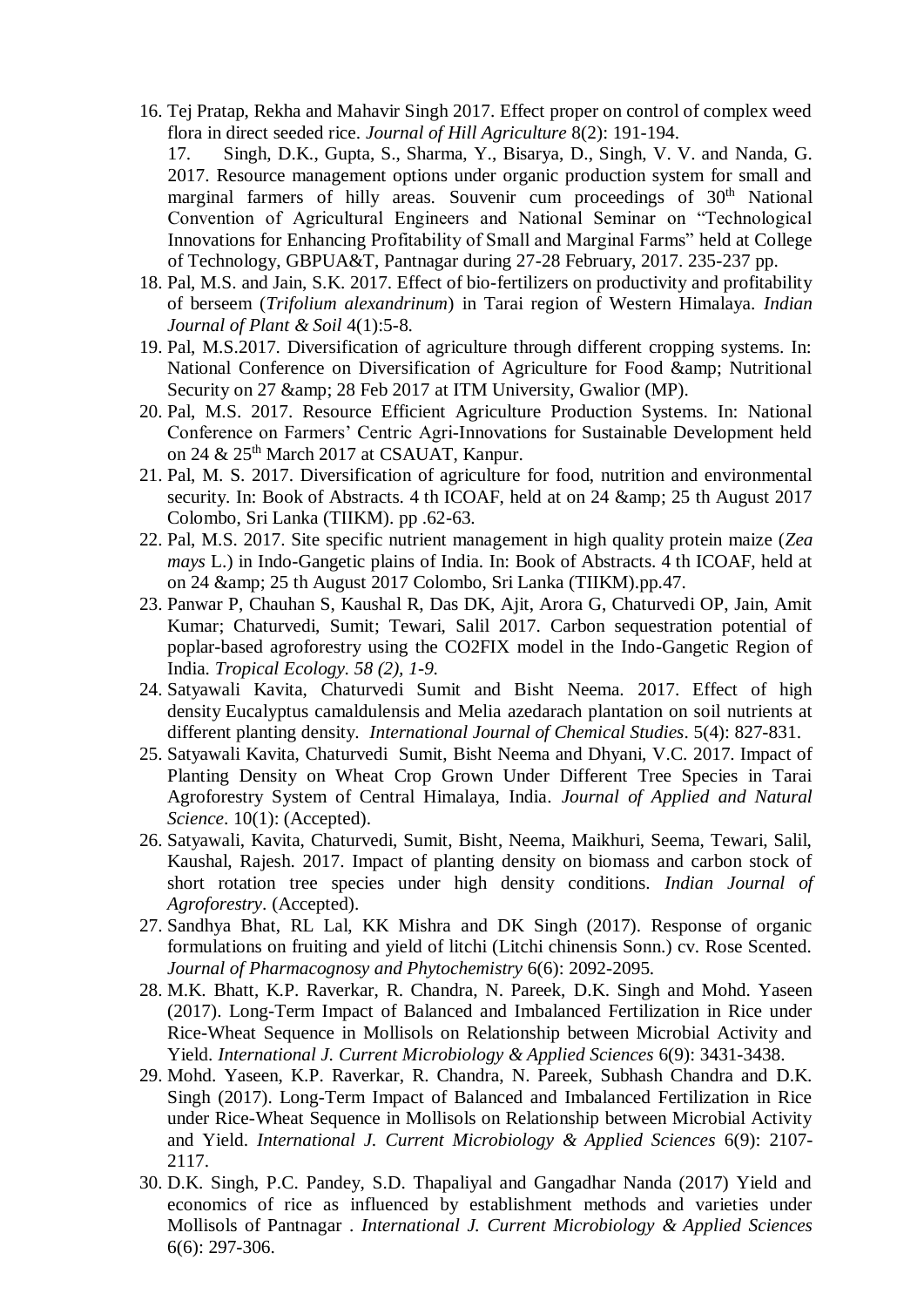16. Tej Pratap, Rekha and Mahavir Singh 2017. Effect proper on control of complex weed flora in direct seeded rice. *Journal of Hill Agriculture* 8(2): 191-194.

17. Singh, D.K., Gupta, S., Sharma, Y., Bisarya, D., Singh, V. V. and Nanda, G. 2017. Resource management options under organic production system for small and marginal farmers of hilly areas. Souvenir cum proceedings of 30<sup>th</sup> National Convention of Agricultural Engineers and National Seminar on "Technological Innovations for Enhancing Profitability of Small and Marginal Farms" held at College of Technology, GBPUA&T, Pantnagar during 27-28 February, 2017. 235-237 pp.

- 18. Pal, M.S. and Jain, S.K. 2017. Effect of bio-fertilizers on productivity and profitability of berseem (*Trifolium alexandrinum*) in Tarai region of Western Himalaya. *Indian Journal of Plant & Soil* 4(1):5-8.
- 19. Pal, M.S.2017. Diversification of agriculture through different cropping systems. In: National Conference on Diversification of Agriculture for Food & amp; Nutritional Security on 27 & 2017 at ITM University, Gwalior (MP).
- 20. Pal, M.S. 2017. Resource Efficient Agriculture Production Systems. In: National Conference on Farmers' Centric Agri-Innovations for Sustainable Development held on 24 & 25<sup>th</sup> March 2017 at CSAUAT, Kanpur.
- 21. Pal, M. S. 2017. Diversification of agriculture for food, nutrition and environmental security. In: Book of Abstracts. 4 th ICOAF, held at on 24 & amp; 25 th August 2017 Colombo, Sri Lanka (TIIKM). pp .62-63.
- 22. Pal, M.S. 2017. Site specific nutrient management in high quality protein maize (*Zea mays* L.) in Indo-Gangetic plains of India. In: Book of Abstracts. 4 th ICOAF, held at on 24 & 25 th August 2017 Colombo, Sri Lanka (TIIKM).pp.47.
- 23. Panwar P, Chauhan S, Kaushal R, Das DK, Ajit, Arora G, Chaturvedi OP, Jain, Amit Kumar; Chaturvedi, Sumit; Tewari, Salil 2017. Carbon sequestration potential of poplar-based agroforestry using the CO2FIX model in the Indo-Gangetic Region of India. *Tropical Ecology. 58 (2), 1-9*.
- 24. Satyawali Kavita, Chaturvedi Sumit and Bisht Neema. 2017. Effect of high density Eucalyptus camaldulensis and Melia azedarach plantation on soil nutrients at different planting density. *International Journal of Chemical Studies*. 5(4): 827-831.
- 25. Satyawali Kavita, Chaturvedi Sumit, Bisht Neema and Dhyani, V.C. 2017. Impact of Planting Density on Wheat Crop Grown Under Different Tree Species in Tarai Agroforestry System of Central Himalaya, India. *Journal of Applied and Natural Science*. 10(1): (Accepted).
- 26. Satyawali, Kavita, Chaturvedi, Sumit, Bisht, Neema, Maikhuri, Seema, Tewari, Salil, Kaushal, Rajesh. 2017. Impact of planting density on biomass and carbon stock of short rotation tree species under high density conditions. *Indian Journal of Agroforestry*. (Accepted).
- 27. Sandhya Bhat, RL Lal, KK Mishra and DK Singh (2017). Response of organic formulations on fruiting and yield of litchi (Litchi chinensis Sonn.) cv. Rose Scented. *Journal of Pharmacognosy and Phytochemistry* 6(6): 2092-2095.
- 28. M.K. Bhatt, K.P. Raverkar, R. Chandra, N. Pareek, D.K. Singh and Mohd. Yaseen (2017). Long-Term Impact of Balanced and Imbalanced Fertilization in Rice under Rice-Wheat Sequence in Mollisols on Relationship between Microbial Activity and Yield. *International J. Current Microbiology & Applied Sciences* 6(9): 3431-3438.
- 29. Mohd. Yaseen, K.P. Raverkar, R. Chandra, N. Pareek, Subhash Chandra and D.K. Singh (2017). Long-Term Impact of Balanced and Imbalanced Fertilization in Rice under Rice-Wheat Sequence in Mollisols on Relationship between Microbial Activity and Yield. *International J. Current Microbiology & Applied Sciences* 6(9): 2107- 2117.
- 30. D.K. Singh, P.C. Pandey, S.D. Thapaliyal and Gangadhar Nanda (2017) Yield and economics of rice as influenced by establishment methods and varieties under Mollisols of Pantnagar . *International J. Current Microbiology & Applied Sciences* 6(6): 297-306.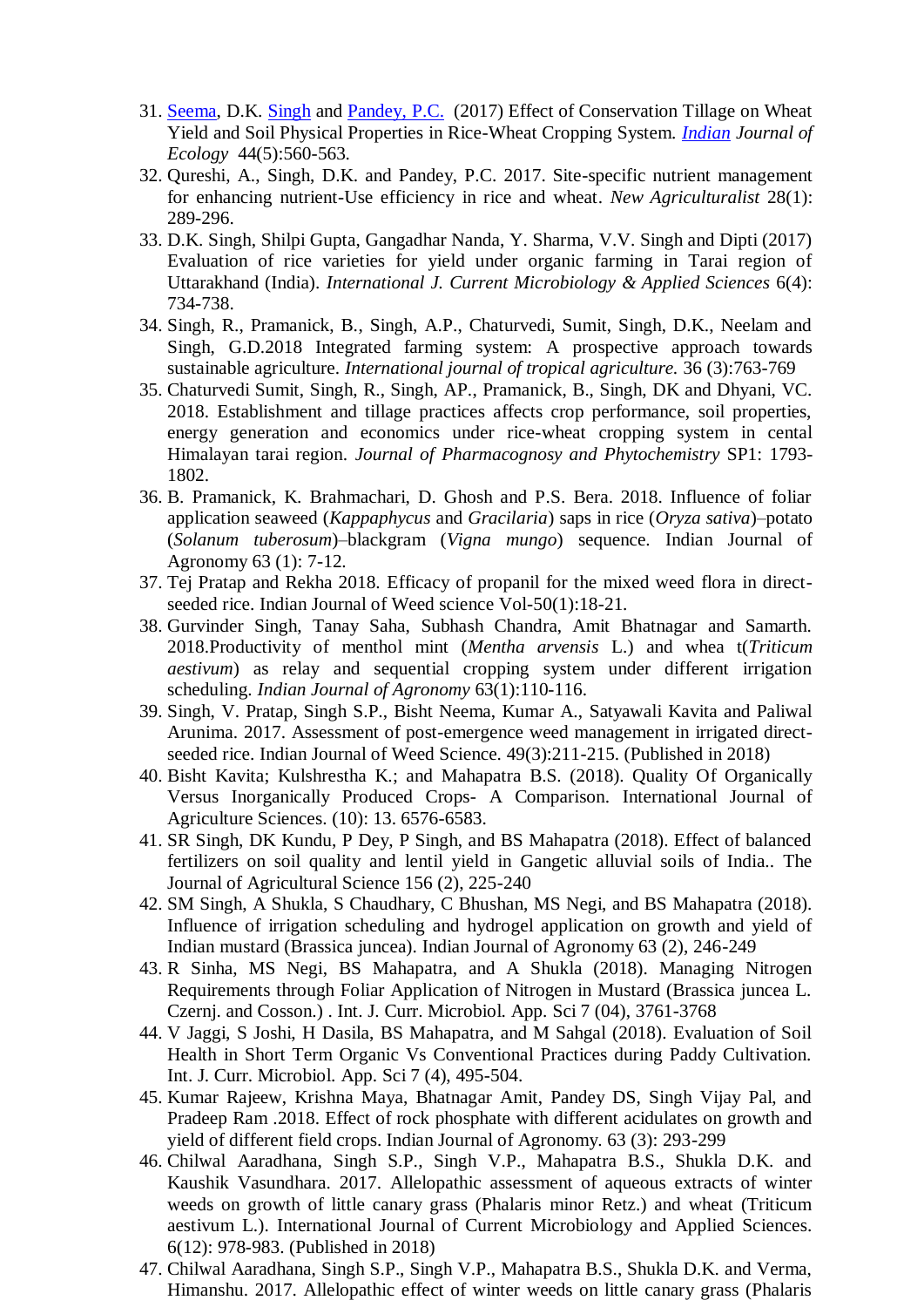- 31. [Seema,](http://www.cabdirect.org/search.html?q=au%3A%22Seema%22) D.K. [Singh](http://www.cabdirect.org/search.html?q=au%3A%22Singh%2C+D.+K.%22) and [Pandey, P.C.](http://www.cabdirect.org/search.html?q=au%3A%22Pandey%2C+P.+C.%22) (2017) Effect of Conservation Tillage on Wheat Yield and Soil Physical Properties in Rice-Wheat Cropping System. *[Indian](http://www.cabdirect.org/search.html?q=do%3A%22Environment+and+Ecology%22) Journal of Ecology* 44(5):560-563.
- 32. Qureshi, A., Singh, D.K. and Pandey, P.C. 2017. Site-specific nutrient management for enhancing nutrient-Use efficiency in rice and wheat. *New Agriculturalist* 28(1): 289-296.
- 33. D.K. Singh, Shilpi Gupta, Gangadhar Nanda, Y. Sharma, V.V. Singh and Dipti (2017) Evaluation of rice varieties for yield under organic farming in Tarai region of Uttarakhand (India). *International J. Current Microbiology & Applied Sciences* 6(4): 734-738.
- 34. Singh, R., Pramanick, B., Singh, A.P., Chaturvedi, Sumit, Singh, D.K., Neelam and Singh, G.D.2018 Integrated farming system: A prospective approach towards sustainable agriculture. *International journal of tropical agriculture.* 36 (3):763-769
- 35. Chaturvedi Sumit, Singh, R., Singh, AP., Pramanick, B., Singh, DK and Dhyani, VC. 2018. Establishment and tillage practices affects crop performance, soil properties, energy generation and economics under rice-wheat cropping system in cental Himalayan tarai region. *Journal of Pharmacognosy and Phytochemistry* SP1: 1793- 1802.
- 36. B. Pramanick, K. Brahmachari, D. Ghosh and P.S. Bera. 2018. Influence of foliar application seaweed (*Kappaphycus* and *Gracilaria*) saps in rice (*Oryza sativa*)–potato (*Solanum tuberosum*)–blackgram (*Vigna mungo*) sequence. Indian Journal of Agronomy 63 (1): 7-12.
- 37. Tej Pratap and Rekha 2018. Efficacy of propanil for the mixed weed flora in directseeded rice. Indian Journal of Weed science Vol-50(1):18-21.
- 38. Gurvinder Singh, Tanay Saha, Subhash Chandra, Amit Bhatnagar and Samarth. 2018.Productivity of menthol mint (*Mentha arvensis* L.) and whea t(*Triticum aestivum*) as relay and sequential cropping system under different irrigation scheduling. *Indian Journal of Agronomy* 63(1):110-116.
- 39. Singh, V. Pratap, Singh S.P., Bisht Neema, Kumar A., Satyawali Kavita and Paliwal Arunima. 2017. Assessment of post-emergence weed management in irrigated directseeded rice. Indian Journal of Weed Science. 49(3):211-215. (Published in 2018)
- 40. Bisht Kavita; Kulshrestha K.; and Mahapatra B.S. (2018). Quality Of Organically Versus Inorganically Produced Crops- A Comparison. International Journal of Agriculture Sciences. (10): 13. 6576-6583.
- 41. SR Singh, DK Kundu, P Dey, P Singh, and BS Mahapatra (2018). Effect of balanced fertilizers on soil quality and lentil yield in Gangetic alluvial soils of India.. The Journal of Agricultural Science 156 (2), 225-240
- 42. SM Singh, A Shukla, S Chaudhary, C Bhushan, MS Negi, and BS Mahapatra (2018). Influence of irrigation scheduling and hydrogel application on growth and yield of Indian mustard (Brassica juncea). Indian Journal of Agronomy 63 (2), 246-249
- 43. R Sinha, MS Negi, BS Mahapatra, and A Shukla (2018). Managing Nitrogen Requirements through Foliar Application of Nitrogen in Mustard (Brassica juncea L. Czernj. and Cosson.) . Int. J. Curr. Microbiol. App. Sci 7 (04), 3761-3768
- 44. V Jaggi, S Joshi, H Dasila, BS Mahapatra, and M Sahgal (2018). Evaluation of Soil Health in Short Term Organic Vs Conventional Practices during Paddy Cultivation. Int. J. Curr. Microbiol. App. Sci 7 (4), 495-504.
- 45. Kumar Rajeew, Krishna Maya, Bhatnagar Amit, Pandey DS, Singh Vijay Pal, and Pradeep Ram .2018. Effect of rock phosphate with different acidulates on growth and yield of different field crops. Indian Journal of Agronomy. 63 (3): 293-299
- 46. Chilwal Aaradhana, Singh S.P., Singh V.P., Mahapatra B.S., Shukla D.K. and Kaushik Vasundhara. 2017. Allelopathic assessment of aqueous extracts of winter weeds on growth of little canary grass (Phalaris minor Retz.) and wheat (Triticum aestivum L.). International Journal of Current Microbiology and Applied Sciences. 6(12): 978-983. (Published in 2018)
- 47. Chilwal Aaradhana, Singh S.P., Singh V.P., Mahapatra B.S., Shukla D.K. and Verma, Himanshu. 2017. Allelopathic effect of winter weeds on little canary grass (Phalaris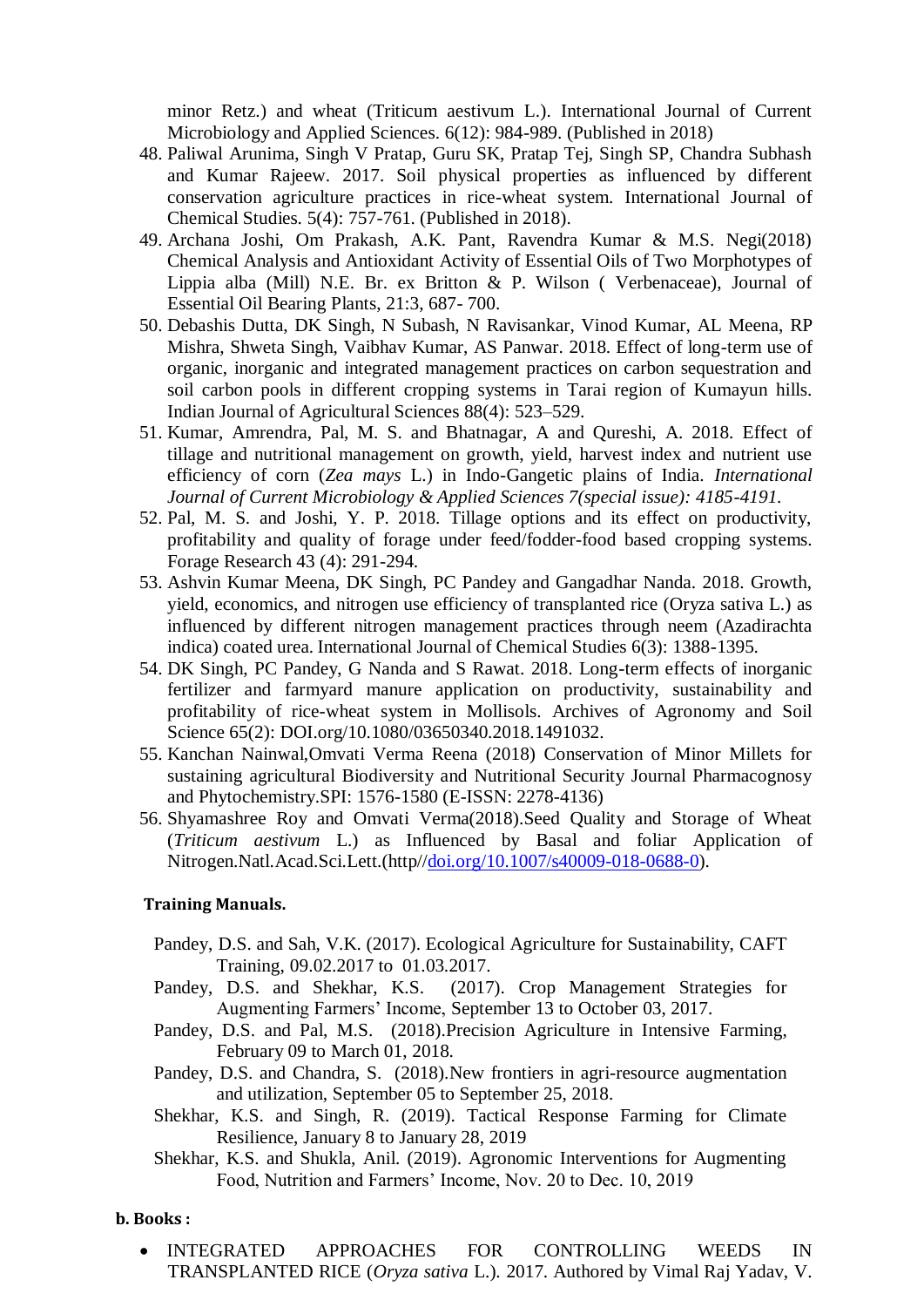minor Retz.) and wheat (Triticum aestivum L.). International Journal of Current Microbiology and Applied Sciences. 6(12): 984-989. (Published in 2018)

- 48. Paliwal Arunima, Singh V Pratap, Guru SK, Pratap Tej, Singh SP, Chandra Subhash and Kumar Rajeew. 2017. Soil physical properties as influenced by different conservation agriculture practices in rice-wheat system. International Journal of Chemical Studies. 5(4): 757-761. (Published in 2018).
- 49. Archana Joshi, Om Prakash, A.K. Pant, Ravendra Kumar & M.S. Negi(2018) Chemical Analysis and Antioxidant Activity of Essential Oils of Two Morphotypes of Lippia alba (Mill) N.E. Br. ex Britton & P. Wilson ( Verbenaceae), Journal of Essential Oil Bearing Plants, 21:3, 687- 700.
- 50. Debashis Dutta, DK Singh, N Subash, N Ravisankar, Vinod Kumar, AL Meena, RP Mishra, Shweta Singh, Vaibhav Kumar, AS Panwar. 2018. Effect of long-term use of organic, inorganic and integrated management practices on carbon sequestration and soil carbon pools in different cropping systems in Tarai region of Kumayun hills. Indian Journal of Agricultural Sciences 88(4): 523–529.
- 51. Kumar, Amrendra, Pal, M. S. and Bhatnagar, A and Qureshi, A. 2018. Effect of tillage and nutritional management on growth, yield, harvest index and nutrient use efficiency of corn (*Zea mays* L.) in Indo-Gangetic plains of India. *International Journal of Current Microbiology & Applied Sciences 7(special issue): 4185-4191.*
- 52. Pal, M. S. and Joshi, Y. P. 2018. Tillage options and its effect on productivity, profitability and quality of forage under feed/fodder-food based cropping systems. Forage Research 43 (4): 291-294.
- 53. Ashvin Kumar Meena, DK Singh, PC Pandey and Gangadhar Nanda. 2018. Growth, yield, economics, and nitrogen use efficiency of transplanted rice (Oryza sativa L.) as influenced by different nitrogen management practices through neem (Azadirachta indica) coated urea. International Journal of Chemical Studies 6(3): 1388-1395.
- 54. DK Singh, PC Pandey, G Nanda and S Rawat. 2018. Long-term effects of inorganic fertilizer and farmyard manure application on productivity, sustainability and profitability of rice-wheat system in Mollisols. Archives of Agronomy and Soil Science 65(2): DOI.org/10.1080/03650340.2018.1491032.
- 55. Kanchan Nainwal,Omvati Verma Reena (2018) Conservation of Minor Millets for sustaining agricultural Biodiversity and Nutritional Security Journal Pharmacognosy and Phytochemistry.SPI: 1576-1580 (E-ISSN: 2278-4136)
- 56. Shyamashree Roy and Omvati Verma(2018).Seed Quality and Storage of Wheat (*Triticum aestivum* L.) as Influenced by Basal and foliar Application of Nitrogen.Natl.Acad.Sci.Lett.(http/[/doi.org/10.1007/s40009-018-0688-0\)](http://doi.org/10.1007/s40009-018-0688-0).

#### **Training Manuals.**

- Pandey, D.S. and Sah, V.K. (2017). Ecological Agriculture for Sustainability, CAFT Training, 09.02.2017 to 01.03.2017.
- Pandey, D.S. and Shekhar, K.S. (2017). Crop Management Strategies for Augmenting Farmers' Income, September 13 to October 03, 2017.
- Pandey, D.S. and Pal, M.S. (2018).Precision Agriculture in Intensive Farming, February 09 to March 01, 2018.
- Pandey, D.S. and Chandra, S. (2018).New frontiers in agri-resource augmentation and utilization, September 05 to September 25, 2018.
- Shekhar, K.S. and Singh, R. (2019). Tactical Response Farming for Climate Resilience, January 8 to January 28, 2019
- Shekhar, K.S. and Shukla, Anil. (2019). Agronomic Interventions for Augmenting Food, Nutrition and Farmers' Income, Nov. 20 to Dec. 10, 2019

#### **b. Books :**

 INTEGRATED APPROACHES FOR CONTROLLING WEEDS IN TRANSPLANTED RICE (*Oryza sativa* L.). 2017. Authored by Vimal Raj Yadav, V.